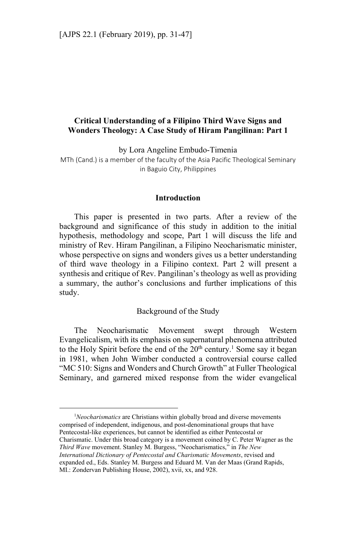# **Critical Understanding of a Filipino Third Wave Signs and Wonders Theology: A Case Study of Hiram Pangilinan: Part 1**

by Lora Angeline Embudo-Timenia

MTh (Cand.) is a member of the faculty of the Asia Pacific Theological Seminary in Baguio City, Philippines

#### **Introduction**

This paper is presented in two parts. After a review of the background and significance of this study in addition to the initial hypothesis, methodology and scope, Part 1 will discuss the life and ministry of Rev. Hiram Pangilinan, a Filipino Neocharismatic minister, whose perspective on signs and wonders gives us a better understanding of third wave theology in a Filipino context. Part 2 will present a synthesis and critique of Rev. Pangilinan's theology as well as providing a summary, the author's conclusions and further implications of this study.

### Background of the Study

The Neocharismatic Movement swept through Western Evangelicalism, with its emphasis on supernatural phenomena attributed to the Holy Spirit before the end of the  $20<sup>th</sup>$  century.<sup>1</sup> Some say it began in 1981, when John Wimber conducted a controversial course called "MC 510: Signs and Wonders and Church Growth" at Fuller Theological Seminary, and garnered mixed response from the wider evangelical

<sup>1</sup>Neocharismatics are Christians within globally broad and diverse movements comprised of independent, indigenous, and post-denominational groups that have Pentecostal-like experiences, but cannot be identified as either Pentecostal or Charismatic. Under this broad category is a movement coined by C. Peter Wagner as the *Third Wave* movement. Stanley M. Burgess, "Neocharismatics," in *The New International Dictionary of Pentecostal and Charismatic Movements*, revised and expanded ed., Eds. Stanley M. Burgess and Eduard M. Van der Maas (Grand Rapids, MI.: Zondervan Publishing House, 2002), xvii, xx, and 928.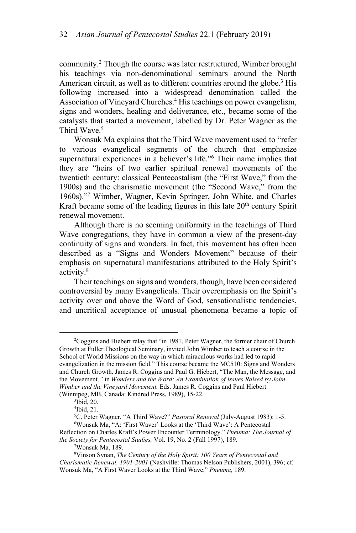community.<sup>2</sup> Though the course was later restructured, Wimber brought his teachings via non-denominational seminars around the North American circuit, as well as to different countries around the globe.<sup>3</sup> His following increased into a widespread denomination called the Association of Vineyard Churches.<sup>4</sup> His teachings on power evangelism, signs and wonders, healing and deliverance, etc., became some of the catalysts that started a movement, labelled by Dr. Peter Wagner as the Third Wave.<sup>5</sup>

Wonsuk Ma explains that the Third Wave movement used to "refer to various evangelical segments of the church that emphasize supernatural experiences in a believer's life."6 Their name implies that they are "heirs of two earlier spiritual renewal movements of the twentieth century: classical Pentecostalism (the "First Wave," from the 1900s) and the charismatic movement (the "Second Wave," from the 1960s)."7 Wimber, Wagner, Kevin Springer, John White, and Charles Kraft became some of the leading figures in this late  $20<sup>th</sup>$  century Spirit renewal movement.

Although there is no seeming uniformity in the teachings of Third Wave congregations, they have in common a view of the present-day continuity of signs and wonders. In fact, this movement has often been described as a "Signs and Wonders Movement" because of their emphasis on supernatural manifestations attributed to the Holy Spirit's activity.<sup>8</sup>

Their teachings on signs and wonders, though, have been considered controversial by many Evangelicals. Their overemphasis on the Spirit's activity over and above the Word of God, sensationalistic tendencies, and uncritical acceptance of unusual phenomena became a topic of

<sup>&</sup>lt;sup>2</sup>Coggins and Hiebert relay that "in 1981, Peter Wagner, the former chair of Church Growth at Fuller Theological Seminary, invited John Wimber to teach a course in the School of World Missions on the way in which miraculous works had led to rapid evangelization in the mission field." This course became the MC510: Signs and Wonders and Church Growth. James R. Coggins and Paul G. Hiebert, "The Man, the Message, and the Movement*,"* in *Wonders and the Word: An Examination of Issues Raised by John Wimber and the Vineyard Movement.* Eds. James R. Coggins and Paul Hiebert. (Winnipeg, MB, Canada: Kindred Press, 1989), 15-22. 3

<sup>&</sup>lt;sup>3</sup>Ibid, 20.

<sup>4</sup> Ibid, 21.

<sup>&</sup>lt;sup>5</sup>C. Peter Wagner, "A Third Wave?" *Pastoral Renewal* (July-August 1983): 1-5.<br><sup>6</sup>Wonsuk Ma. "A: 'First Wayer' Looks at the 'Third Waye': A Pentecostal Wonsuk Ma, "A: 'First Waver' Looks at the 'Third Wave': A Pentecostal Reflection on Charles Kraft's Power Encounter Terminology." *Pneuma: The Journal of* 

*the Society for Pentecostal Studies, Vol. 19, No. 2 (Fall 1997), 189.* 

Wonsuk Ma, 189.

<sup>8</sup> Vinson Synan, *The Century of the Holy Spirit: 100 Years of Pentecostal and Charismatic Renewal, 1901-2001* (Nashville: Thomas Nelson Publishers, 2001), 396; cf. Wonsuk Ma, "A First Waver Looks at the Third Wave," *Pneuma,* 189.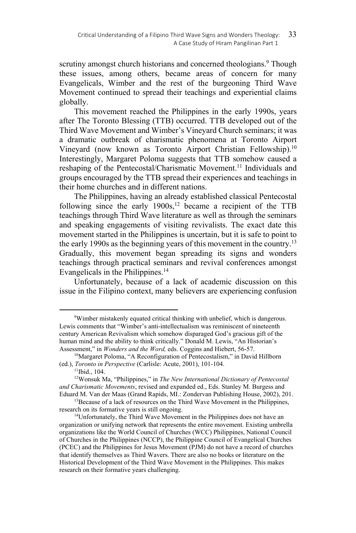scrutiny amongst church historians and concerned theologians.<sup>9</sup> Though these issues, among others, became areas of concern for many Evangelicals, Wimber and the rest of the burgeoning Third Wave Movement continued to spread their teachings and experiential claims globally.

This movement reached the Philippines in the early 1990s, years after The Toronto Blessing (TTB) occurred. TTB developed out of the Third Wave Movement and Wimber's Vineyard Church seminars; it was a dramatic outbreak of charismatic phenomena at Toronto Airport Vineyard (now known as Toronto Airport Christian Fellowship).<sup>10</sup> Interestingly, Margaret Poloma suggests that TTB somehow caused a reshaping of the Pentecostal/Charismatic Movement.<sup>11</sup> Individuals and groups encouraged by the TTB spread their experiences and teachings in their home churches and in different nations.

The Philippines, having an already established classical Pentecostal following since the early  $1900s$ ,<sup>12</sup> became a recipient of the TTB teachings through Third Wave literature as well as through the seminars and speaking engagements of visiting revivalists. The exact date this movement started in the Philippines is uncertain, but it is safe to point to the early 1990s as the beginning years of this movement in the country.<sup>13</sup> Gradually, this movement began spreading its signs and wonders teachings through practical seminars and revival conferences amongst Evangelicals in the Philippines.<sup>14</sup>

Unfortunately, because of a lack of academic discussion on this issue in the Filipino context, many believers are experiencing confusion

<sup>9</sup> Wimber mistakenly equated critical thinking with unbelief, which is dangerous. Lewis comments that "Wimber's anti-intellectualism was reminiscent of nineteenth century American Revivalism which somehow disparaged God's gracious gift of the human mind and the ability to think critically." Donald M. Lewis, "An Historian's Assessment," in *Wonders and the Word*, eds. Coggins and Hiebert, 56-57.<br><sup>10</sup>Margaret Poloma, "A Reconfiguration of Pentecostalism," in David Hillborn

<sup>(</sup>ed.), *Toronto in Perspective* (Carlisle: Acute, 2001), 101-104.<br><sup>11</sup>Ibid., 104.

<sup>12</sup>Wonsuk Ma, "Philippines," in *The New International Dictionary of Pentecostal and Charismatic Movements*, revised and expanded ed., Eds. Stanley M. Burgess and

Eduard M. Van der Maas (Grand Rapids, MI.: Zondervan Publishing House, 2002), 201.<br><sup>13</sup>Because of a lack of resources on the Third Wave Movement in the Philippines, research on its formative years is still ongoing.

<sup>&</sup>lt;sup>14</sup>Unfortunately, the Third Wave Movement in the Philippines does not have an organization or unifying network that represents the entire movement. Existing umbrella organizations like the World Council of Churches (WCC) Philippines, National Council of Churches in the Philippines (NCCP), the Philippine Council of Evangelical Churches (PCEC) and the Philippines for Jesus Movement (PJM) do not have a record of churches that identify themselves as Third Wavers. There are also no books or literature on the Historical Development of the Third Wave Movement in the Philippines. This makes research on their formative years challenging.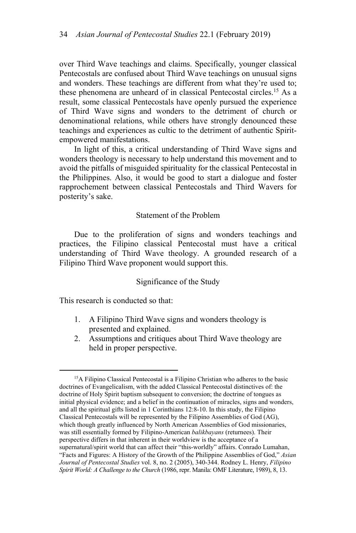over Third Wave teachings and claims. Specifically, younger classical Pentecostals are confused about Third Wave teachings on unusual signs and wonders. These teachings are different from what they're used to; these phenomena are unheard of in classical Pentecostal circles. 15 As a result, some classical Pentecostals have openly pursued the experience of Third Wave signs and wonders to the detriment of church or denominational relations, while others have strongly denounced these teachings and experiences as cultic to the detriment of authentic Spiritempowered manifestations.

In light of this, a critical understanding of Third Wave signs and wonders theology is necessary to help understand this movement and to avoid the pitfalls of misguided spirituality for the classical Pentecostal in the Philippines. Also, it would be good to start a dialogue and foster rapprochement between classical Pentecostals and Third Wavers for posterity's sake.

### Statement of the Problem

Due to the proliferation of signs and wonders teachings and practices, the Filipino classical Pentecostal must have a critical understanding of Third Wave theology. A grounded research of a Filipino Third Wave proponent would support this.

### Significance of the Study

This research is conducted so that:

- 1. A Filipino Third Wave signs and wonders theology is presented and explained.
- 2. Assumptions and critiques about Third Wave theology are held in proper perspective.

<sup>&</sup>lt;sup>15</sup>A Filipino Classical Pentecostal is a Filipino Christian who adheres to the basic doctrines of Evangelicalism, with the added Classical Pentecostal distinctives of: the doctrine of Holy Spirit baptism subsequent to conversion; the doctrine of tongues as initial physical evidence; and a belief in the continuation of miracles, signs and wonders, and all the spiritual gifts listed in 1 Corinthians 12:8-10. In this study, the Filipino Classical Pentecostals will be represented by the Filipino Assemblies of God (AG), which though greatly influenced by North American Assemblies of God missionaries, was still essentially formed by Filipino-American *balikbayans* (returnees). Their perspective differs in that inherent in their worldview is the acceptance of a supernatural/spirit world that can affect their "this-worldly" affairs. Conrado Lumahan, "Facts and Figures: A History of the Growth of the Philippine Assemblies of God," *Asian Journal of Pentecostal Studies* vol. 8, no. 2 (2005), 340-344. Rodney L. Henry, *Filipino Spirit World: A Challenge to the Church* (1986, repr. Manila: OMF Literature, 1989), 8, 13.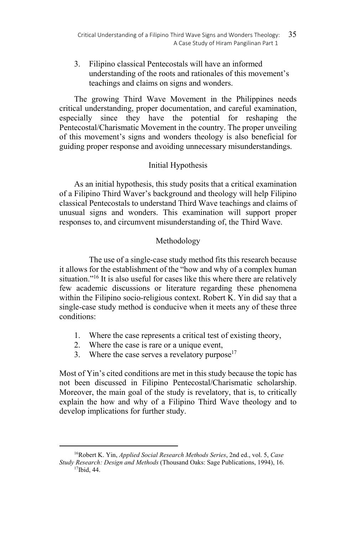3. Filipino classical Pentecostals will have an informed understanding of the roots and rationales of this movement's teachings and claims on signs and wonders.

The growing Third Wave Movement in the Philippines needs critical understanding, proper documentation, and careful examination, especially since they have the potential for reshaping the Pentecostal/Charismatic Movement in the country. The proper unveiling of this movement's signs and wonders theology is also beneficial for guiding proper response and avoiding unnecessary misunderstandings.

## Initial Hypothesis

As an initial hypothesis, this study posits that a critical examination of a Filipino Third Waver's background and theology will help Filipino classical Pentecostals to understand Third Wave teachings and claims of unusual signs and wonders. This examination will support proper responses to, and circumvent misunderstanding of, the Third Wave.

## Methodology

 The use of a single-case study method fits this research because it allows for the establishment of the "how and why of a complex human situation."<sup>16</sup> It is also useful for cases like this where there are relatively few academic discussions or literature regarding these phenomena within the Filipino socio-religious context. Robert K. Yin did say that a single-case study method is conducive when it meets any of these three conditions:

- 1. Where the case represents a critical test of existing theory,
- 2. Where the case is rare or a unique event,

 $\overline{a}$ 

3. Where the case serves a revelatory purpose $17$ 

Most of Yin's cited conditions are met in this study because the topic has not been discussed in Filipino Pentecostal/Charismatic scholarship. Moreover, the main goal of the study is revelatory, that is, to critically explain the how and why of a Filipino Third Wave theology and to develop implications for further study.

<sup>16</sup>Robert K. Yin, *Applied Social Research Methods Series*, 2nd ed., vol. 5, *Case Study Research: Design and Methods* (Thousand Oaks: Sage Publications, 1994), 16. <sup>17</sup>Ibid. 44.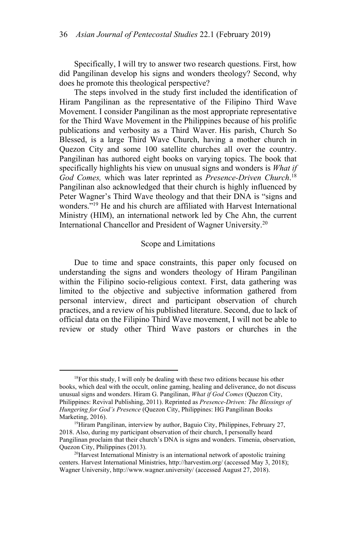Specifically, I will try to answer two research questions. First, how did Pangilinan develop his signs and wonders theology? Second, why does he promote this theological perspective?

The steps involved in the study first included the identification of Hiram Pangilinan as the representative of the Filipino Third Wave Movement. I consider Pangilinan as the most appropriate representative for the Third Wave Movement in the Philippines because of his prolific publications and verbosity as a Third Waver. His parish, Church So Blessed, is a large Third Wave Church, having a mother church in Quezon City and some 100 satellite churches all over the country. Pangilinan has authored eight books on varying topics. The book that specifically highlights his view on unusual signs and wonders is *What if God Comes,* which was later reprinted as *Presence-Driven Church*. 18 Pangilinan also acknowledged that their church is highly influenced by Peter Wagner's Third Wave theology and that their DNA is "signs and wonders."19 He and his church are affiliated with Harvest International Ministry (HIM), an international network led by Che Ahn, the current International Chancellor and President of Wagner University.<sup>20</sup>

### Scope and Limitations

Due to time and space constraints, this paper only focused on understanding the signs and wonders theology of Hiram Pangilinan within the Filipino socio-religious context. First, data gathering was limited to the objective and subjective information gathered from personal interview, direct and participant observation of church practices, and a review of his published literature. Second, due to lack of official data on the Filipino Third Wave movement, I will not be able to review or study other Third Wave pastors or churches in the

<sup>&</sup>lt;sup>18</sup>For this study, I will only be dealing with these two editions because his other books, which deal with the occult, online gaming, healing and deliverance, do not discuss unusual signs and wonders. Hiram G. Pangilinan, *What if God Comes* (Quezon City, Philippines: Revival Publishing, 2011). Reprinted as *Presence-Driven: The Blessings of Hungering for God's Presence* (Quezon City, Philippines: HG Pangilinan Books Marketing, 2016). 19Hiram Pangilinan, interview by author, Baguio City, Philippines, February 27,

<sup>2018.</sup> Also, during my participant observation of their church, I personally heard Pangilinan proclaim that their church's DNA is signs and wonders. Timenia, observation, Quezon City, Philippines (2013).<br><sup>20</sup>Harvest International Ministry is an international network of apostolic training

centers. Harvest International Ministries, http://harvestim.org/ (accessed May 3, 2018); Wagner University, http://www.wagner.university/ (accessed August 27, 2018).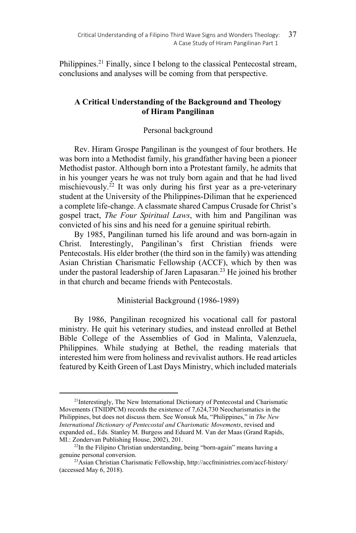Philippines.<sup>21</sup> Finally, since I belong to the classical Pentecostal stream, conclusions and analyses will be coming from that perspective.

# **A Critical Understanding of the Background and Theology of Hiram Pangilinan**

## Personal background

Rev. Hiram Grospe Pangilinan is the youngest of four brothers. He was born into a Methodist family, his grandfather having been a pioneer Methodist pastor. Although born into a Protestant family, he admits that in his younger years he was not truly born again and that he had lived mischievously.<sup>22</sup> It was only during his first year as a pre-veterinary student at the University of the Philippines-Diliman that he experienced a complete life-change. A classmate shared Campus Crusade for Christ's gospel tract, *The Four Spiritual Laws*, with him and Pangilinan was convicted of his sins and his need for a genuine spiritual rebirth.

By 1985, Pangilinan turned his life around and was born-again in Christ. Interestingly, Pangilinan's first Christian friends were Pentecostals. His elder brother (the third son in the family) was attending Asian Christian Charismatic Fellowship (ACCF), which by then was under the pastoral leadership of Jaren Lapasaran.<sup>23</sup> He joined his brother in that church and became friends with Pentecostals.

## Ministerial Background (1986-1989)

By 1986, Pangilinan recognized his vocational call for pastoral ministry. He quit his veterinary studies, and instead enrolled at Bethel Bible College of the Assemblies of God in Malinta, Valenzuela, Philippines. While studying at Bethel, the reading materials that interested him were from holiness and revivalist authors. He read articles featured by Keith Green of Last Days Ministry, which included materials

<sup>&</sup>lt;sup>21</sup>Interestingly, The New International Dictionary of Pentecostal and Charismatic Movements (TNIDPCM) records the existence of 7,624,730 Neocharismatics in the Philippines, but does not discuss them. See Wonsuk Ma, "Philippines," in *The New International Dictionary of Pentecostal and Charismatic Movements*, revised and expanded ed., Eds. Stanley M. Burgess and Eduard M. Van der Maas (Grand Rapids, MI.: Zondervan Publishing House, 2002), 201.

<sup>&</sup>lt;sup>22</sup>In the Filipino Christian understanding, being "born-again" means having a genuine personal conversion.<br><sup>23</sup>Asian Christian Charismatic Fellowship, http://accfministries.com/accf-history/

<sup>(</sup>accessed May 6, 2018).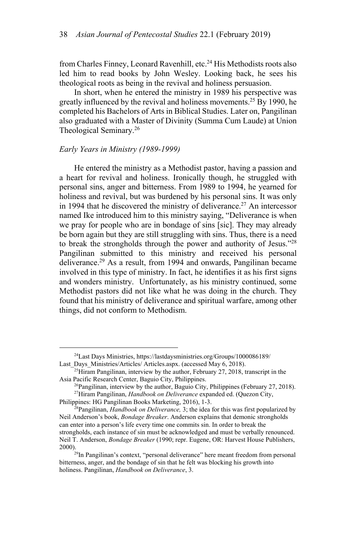from Charles Finney, Leonard Ravenhill, etc.<sup>24</sup> His Methodists roots also led him to read books by John Wesley. Looking back, he sees his theological roots as being in the revival and holiness persuasion.

In short, when he entered the ministry in 1989 his perspective was greatly influenced by the revival and holiness movements.<sup>25</sup> By 1990, he completed his Bachelors of Arts in Biblical Studies. Later on, Pangilinan also graduated with a Master of Divinity (Summa Cum Laude) at Union Theological Seminary.26

### *Early Years in Ministry (1989-1999)*

He entered the ministry as a Methodist pastor, having a passion and a heart for revival and holiness. Ironically though, he struggled with personal sins, anger and bitterness. From 1989 to 1994, he yearned for holiness and revival, but was burdened by his personal sins. It was only in 1994 that he discovered the ministry of deliverance.<sup>27</sup> An intercessor named Ike introduced him to this ministry saying, "Deliverance is when we pray for people who are in bondage of sins [sic]. They may already be born again but they are still struggling with sins. Thus, there is a need to break the strongholds through the power and authority of Jesus."28 Pangilinan submitted to this ministry and received his personal deliverance.<sup>29</sup> As a result, from 1994 and onwards, Pangilinan became involved in this type of ministry. In fact, he identifies it as his first signs and wonders ministry. Unfortunately, as his ministry continued, some Methodist pastors did not like what he was doing in the church. They found that his ministry of deliverance and spiritual warfare, among other things, did not conform to Methodism.

<sup>24</sup>Last Days Ministries, https://lastdaysministries.org/Groups/1000086189/

Last\_Days\_Ministries/Articles/ Articles.aspx. (accessed May 6, 2018). <sup>25</sup>Hiram Pangilinan, interview by the author, February 27, 2018, transcript in the Asia Pacific Research Center, Baguio City, Philippines.

<sup>&</sup>lt;sup>26</sup>Pangilinan, interview by the author, Baguio City, Philippines (February 27, 2018). <sup>27</sup>Hiram Pangilinan, *Handbook on Deliverance* expanded ed. (Quezon City,

Philippines: HG Pangilinan Books Marketing, 2016), 1-3. 28Pangilinan, *Handbook on Deliverance,* 3; the idea for this was first popularized by Neil Anderson's book, *Bondage Breaker*. Anderson explains that demonic strongholds can enter into a person's life every time one commits sin. In order to break the strongholds, each instance of sin must be acknowledged and must be verbally renounced. Neil T. Anderson, *Bondage Breaker* (1990; repr. Eugene, OR: Harvest House Publishers,

<sup>2000). 29</sup>In Pangilinan's context, "personal deliverance" here meant freedom from personal bitterness, anger, and the bondage of sin that he felt was blocking his growth into holiness. Pangilinan, *Handbook on Deliverance*, 3.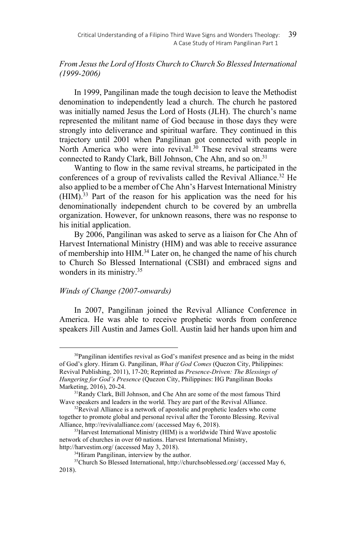# *From Jesus the Lord of Hosts Church to Church So Blessed International (1999-2006)*

In 1999, Pangilinan made the tough decision to leave the Methodist denomination to independently lead a church. The church he pastored was initially named Jesus the Lord of Hosts (JLH). The church's name represented the militant name of God because in those days they were strongly into deliverance and spiritual warfare. They continued in this trajectory until 2001 when Pangilinan got connected with people in North America who were into revival.<sup>30</sup> These revival streams were connected to Randy Clark, Bill Johnson, Che Ahn, and so on.<sup>31</sup>

Wanting to flow in the same revival streams, he participated in the conferences of a group of revivalists called the Revival Alliance.<sup>32</sup> He also applied to be a member of Che Ahn's Harvest International Ministry (HIM).33 Part of the reason for his application was the need for his denominationally independent church to be covered by an umbrella organization. However, for unknown reasons, there was no response to his initial application.

By 2006, Pangilinan was asked to serve as a liaison for Che Ahn of Harvest International Ministry (HIM) and was able to receive assurance of membership into HIM.<sup>34</sup> Later on, he changed the name of his church to Church So Blessed International (CSBI) and embraced signs and wonders in its ministry.35

### *Winds of Change (2007-onwards)*

 $\overline{a}$ 

In 2007, Pangilinan joined the Revival Alliance Conference in America. He was able to receive prophetic words from conference speakers Jill Austin and James Goll. Austin laid her hands upon him and

<sup>&</sup>lt;sup>30</sup>Pangilinan identifies revival as God's manifest presence and as being in the midst of God's glory. Hiram G. Pangilinan, *What if God Comes* (Quezon City, Philippines: Revival Publishing, 2011), 17-20; Reprinted as *Presence-Driven: The Blessings of Hungering for God's Presence* (Quezon City, Philippines: HG Pangilinan Books

<sup>&</sup>lt;sup>31</sup>Randy Clark, Bill Johnson, and Che Ahn are some of the most famous Third Wave speakers and leaders in the world. They are part of the Revival Alliance.<br><sup>32</sup>Revival Alliance is a network of apostolic and prophetic leaders who come

together to promote global and personal revival after the Toronto Blessing. Revival Alliance, http://revivalalliance.com/ (accessed May 6, 2018).<br><sup>33</sup>Harvest International Ministry (HIM) is a worldwide Third Wave apostolic

network of churches in over 60 nations. Harvest International Ministry,

http://harvestim.org/ (accessed May 3, 2018).<br><sup>34</sup>Hiram Pangilinan, interview by the author.

<sup>35</sup>Church So Blessed International, http://churchsoblessed.org/ (accessed May 6, 2018).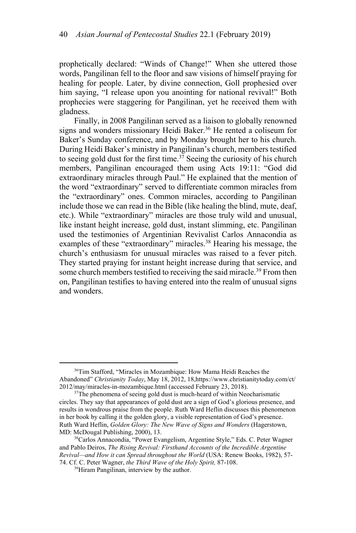prophetically declared: "Winds of Change!" When she uttered those words, Pangilinan fell to the floor and saw visions of himself praying for healing for people. Later, by divine connection, Goll prophesied over him saying, "I release upon you anointing for national revival!" Both prophecies were staggering for Pangilinan, yet he received them with gladness.

Finally, in 2008 Pangilinan served as a liaison to globally renowned signs and wonders missionary Heidi Baker.<sup>36</sup> He rented a coliseum for Baker's Sunday conference, and by Monday brought her to his church. During Heidi Baker's ministry in Pangilinan's church, members testified to seeing gold dust for the first time.37 Seeing the curiosity of his church members, Pangilinan encouraged them using Acts 19:11: "God did extraordinary miracles through Paul." He explained that the mention of the word "extraordinary" served to differentiate common miracles from the "extraordinary" ones. Common miracles, according to Pangilinan include those we can read in the Bible (like healing the blind, mute, deaf, etc.). While "extraordinary" miracles are those truly wild and unusual, like instant height increase, gold dust, instant slimming, etc. Pangilinan used the testimonies of Argentinian Revivalist Carlos Annacondia as examples of these "extraordinary" miracles.<sup>38</sup> Hearing his message, the church's enthusiasm for unusual miracles was raised to a fever pitch. They started praying for instant height increase during that service, and some church members testified to receiving the said miracle.<sup>39</sup> From then on, Pangilinan testifies to having entered into the realm of unusual signs and wonders.

<sup>&</sup>lt;sup>36</sup>Tim Stafford, "Miracles in Mozambique: How Mama Heidi Reaches the Abandoned" *Christianity Today*, May 18, 2012, 1[8,https://www.christianitytoday.com/ct/](https://www.christianitytoday.com/ct/)  2012/may/miracles-in-mozambique.html (accessed February 23, 2018). 37The phenomena of seeing gold dust is much-heard of within Neocharismatic

circles. They say that appearances of gold dust are a sign of God's glorious presence, and results in wondrous praise from the people. Ruth Ward Heflin discusses this phenomenon in her book by calling it the golden glory, a visible representation of God's presence. Ruth Ward Heflin, *Golden Glory: The New Wave of Signs and Wonders* (Hagerstown, MD: McDougal Publishing, 2000), 13.<br><sup>38</sup>Carlos Annacondia, "Power Evangelism, Argentine Style," Eds. C. Peter Wagner

and Pablo Deiros, *The Rising Revival: Firsthand Accounts of the Incredible Argentine Revival—and How it can Spread throughout the World* (USA: Renew Books, 1982), 57- 74. Cf. C. Peter Wagner, *the Third Wave of the Holy Spirit,* 87-108. 39Hiram Pangilinan, interview by the author.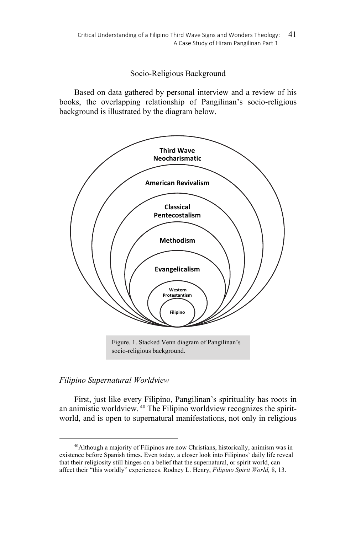## Socio-Religious Background

Based on data gathered by personal interview and a review of his books, the overlapping relationship of Pangilinan's socio-religious background is illustrated by the diagram below.



# *Filipino Supernatural Worldview*

 $\overline{a}$ 

First, just like every Filipino, Pangilinan's spirituality has roots in an animistic worldview. 40 The Filipino worldview recognizes the spiritworld, and is open to supernatural manifestations, not only in religious

<sup>40</sup>Although a majority of Filipinos are now Christians, historically, animism was in existence before Spanish times. Even today, a closer look into Filipinos' daily life reveal that their religiosity still hinges on a belief that the supernatural, or spirit world, can affect their "this worldly" experiences. Rodney L. Henry, *Filipino Spirit World,* 8, 13.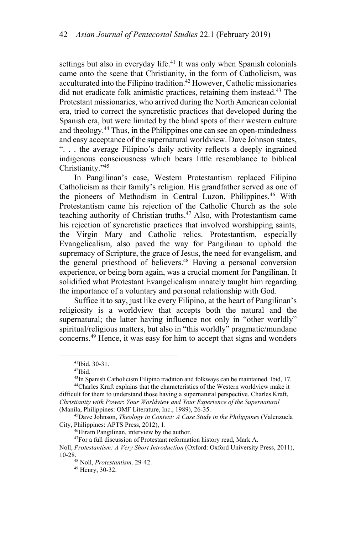settings but also in everyday life.<sup>41</sup> It was only when Spanish colonials came onto the scene that Christianity, in the form of Catholicism, was acculturated into the Filipino tradition.<sup>42</sup> However, Catholic missionaries did not eradicate folk animistic practices, retaining them instead.43 The Protestant missionaries, who arrived during the North American colonial era, tried to correct the syncretistic practices that developed during the Spanish era, but were limited by the blind spots of their western culture and theology.44 Thus, in the Philippines one can see an open-mindedness and easy acceptance of the supernatural worldview. Dave Johnson states, ". . . the average Filipino's daily activity reflects a deeply ingrained indigenous consciousness which bears little resemblance to biblical Christianity."45

In Pangilinan's case, Western Protestantism replaced Filipino Catholicism as their family's religion. His grandfather served as one of the pioneers of Methodism in Central Luzon, Philippines.<sup>46</sup> With Protestantism came his rejection of the Catholic Church as the sole teaching authority of Christian truths.<sup>47</sup> Also, with Protestantism came his rejection of syncretistic practices that involved worshipping saints, the Virgin Mary and Catholic relics. Protestantism, especially Evangelicalism, also paved the way for Pangilinan to uphold the supremacy of Scripture, the grace of Jesus, the need for evangelism, and the general priesthood of believers.<sup>48</sup> Having a personal conversion experience, or being born again, was a crucial moment for Pangilinan. It solidified what Protestant Evangelicalism innately taught him regarding the importance of a voluntary and personal relationship with God.

Suffice it to say, just like every Filipino, at the heart of Pangilinan's religiosity is a worldview that accepts both the natural and the supernatural; the latter having influence not only in "other worldly" spiritual/religious matters, but also in "this worldly" pragmatic/mundane concerns.49 Hence, it was easy for him to accept that signs and wonders

 $\overline{a}$ 

<sup>46</sup>Hiram Pangilinan, interview by the author.

<sup>41</sup>Ibid, 30-31.

 $42$ Ibid.<br> $43$ In Spanish Catholicism Filipino tradition and folkways can be maintained. Ibid, 17.

<sup>&</sup>lt;sup>44</sup>Charles Kraft explains that the characteristics of the Western worldview make it difficult for them to understand those having a supernatural perspective. Charles Kraft, *Christianity with Power*: *Your Worldview and Your Experience of the Supernatural*

<sup>&</sup>lt;sup>45</sup> Dave Johnson, *Theology in Context: A Case Study in the Philippines* (Valenzuela City, Philippines: APTS Press, 2012), 1.

<sup>&</sup>lt;sup>47</sup>For a full discussion of Protestant reformation history read, Mark A.

Noll, *Protestantism: A Very Short Introduction* (Oxford: Oxford University Press, 2011), 10-28. 48 Noll, *Protestantism,* 29-42. 49 Henry, 30-32.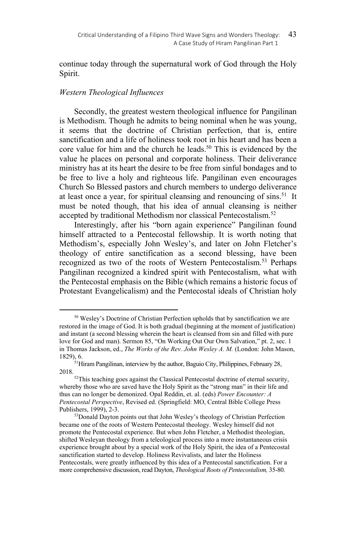continue today through the supernatural work of God through the Holy Spirit.

## *Western Theological Influences*

 $\overline{a}$ 

Secondly, the greatest western theological influence for Pangilinan is Methodism. Though he admits to being nominal when he was young, it seems that the doctrine of Christian perfection, that is, entire sanctification and a life of holiness took root in his heart and has been a core value for him and the church he leads.<sup>50</sup> This is evidenced by the value he places on personal and corporate holiness. Their deliverance ministry has at its heart the desire to be free from sinful bondages and to be free to live a holy and righteous life. Pangilinan even encourages Church So Blessed pastors and church members to undergo deliverance at least once a year, for spiritual cleansing and renouncing of sins.<sup>51</sup> It must be noted though, that his idea of annual cleansing is neither accepted by traditional Methodism nor classical Pentecostalism.<sup>52</sup>

Interestingly, after his "born again experience" Pangilinan found himself attracted to a Pentecostal fellowship. It is worth noting that Methodism's, especially John Wesley's, and later on John Fletcher's theology of entire sanctification as a second blessing, have been recognized as two of the roots of Western Pentecostalism.<sup>53</sup> Perhaps Pangilinan recognized a kindred spirit with Pentecostalism, what with the Pentecostal emphasis on the Bible (which remains a historic focus of Protestant Evangelicalism) and the Pentecostal ideals of Christian holy

<sup>50</sup> Wesley's Doctrine of Christian Perfection upholds that by sanctification we are restored in the image of God. It is both gradual (beginning at the moment of justification) and instant (a second blessing wherein the heart is cleansed from sin and filled with pure love for God and man). Sermon 85, "On Working Out Our Own Salvation," pt. 2, sec. 1 in Thomas Jackson, ed., *The Works of the Rev. John Wesley A. M.* (London: John Mason, 1829), 6. <sup>51</sup>Hiram Pangilinan, interview by the author, Baguio City, Philippines, February 28,

<sup>2018. 52</sup>This teaching goes against the Classical Pentecostal doctrine of eternal security,

whereby those who are saved have the Holy Spirit as the "strong man" in their life and thus can no longer be demonized. Opal Reddin, et. al. (eds) *Power Encounter: A Pentecostal Perspective*, Revised ed. (Springfield: MO, Central Bible College Press

<sup>53</sup>Donald Dayton points out that John Wesley's theology of Christian Perfection became one of the roots of Western Pentecostal theology. Wesley himself did not promote the Pentecostal experience. But when John Fletcher, a Methodist theologian, shifted Wesleyan theology from a teleological process into a more instantaneous crisis experience brought about by a special work of the Holy Spirit, the idea of a Pentecostal sanctification started to develop. Holiness Revivalists, and later the Holiness Pentecostals, were greatly influenced by this idea of a Pentecostal sanctification. For a more comprehensive discussion, read Dayton, *Theological Roots of Pentecostalism,* 35-80.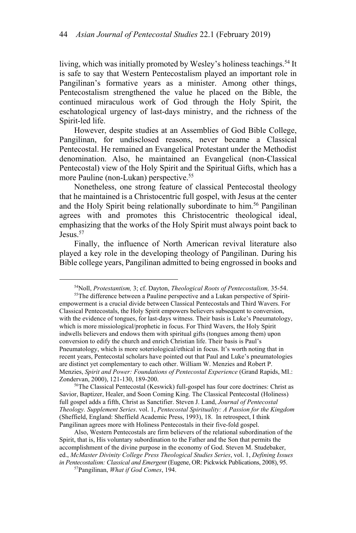living, which was initially promoted by Wesley's holiness teachings.<sup>54</sup> It is safe to say that Western Pentecostalism played an important role in Pangilinan's formative years as a minister. Among other things, Pentecostalism strengthened the value he placed on the Bible, the continued miraculous work of God through the Holy Spirit, the eschatological urgency of last-days ministry, and the richness of the Spirit-led life.

However, despite studies at an Assemblies of God Bible College, Pangilinan, for undisclosed reasons, never became a Classical Pentecostal. He remained an Evangelical Protestant under the Methodist denomination. Also, he maintained an Evangelical (non-Classical Pentecostal) view of the Holy Spirit and the Spiritual Gifts, which has a more Pauline (non-Lukan) perspective.<sup>55</sup>

Nonetheless, one strong feature of classical Pentecostal theology that he maintained is a Christocentric full gospel, with Jesus at the center and the Holy Spirit being relationally subordinate to him.<sup>56</sup> Pangilinan agrees with and promotes this Christocentric theological ideal, emphasizing that the works of the Holy Spirit must always point back to Jesus<sup>57</sup>

Finally, the influence of North American revival literature also played a key role in the developing theology of Pangilinan. During his Bible college years, Pangilinan admitted to being engrossed in books and

empowerment is a crucial divide between Classical Pentecostals and Third Wavers. For Classical Pentecostals, the Holy Spirit empowers believers subsequent to conversion, with the evidence of tongues, for last-days witness. Their basis is Luke's Pneumatology, which is more missiological/prophetic in focus. For Third Wavers, the Holy Spirit indwells believers and endows them with spiritual gifts (tongues among them) upon conversion to edify the church and enrich Christian life. Their basis is Paul's Pneumatology, which is more soteriological/ethical in focus. It's worth noting that in recent years, Pentecostal scholars have pointed out that Paul and Luke's pneumatologies are distinct yet complementary to each other. William W. Menzies and Robert P. Menzies, *Spirit and Power: Foundations of Pentecostal Experience* (Grand Rapids, MI.:

<sup>56</sup>The Classical Pentecostal (Keswick) full-gospel has four core doctrines: Christ as Savior, Baptizer, Healer, and Soon Coming King. The Classical Pentecostal (Holiness) full gospel adds a fifth, Christ as Sanctifier. Steven J. Land, *Journal of Pentecostal Theology. Supplement Series*. vol. 1, *Pentecostal Spirituality: A Passion for the Kingdom* (Sheffield, England: Sheffield Academic Press, 1993), 18. In retrospect, I think Pangilinan agrees more with Holiness Pentecostals in their five-fold gospel.

Also, Western Pentecostals are firm believers of the relational subordination of the Spirit, that is, His voluntary subordination to the Father and the Son that permits the accomplishment of the divine purpose in the economy of God. Steven M. Studebaker, ed., *McMaster Divinity College Press Theological Studies Series*, vol. 1, *Defining Issues in Pentecostalism: Classical and Emergent* (Eugene, OR: Pickwick Publications, 2008), 95. <sup>57</sup>Pangilinan, *What if God Comes*, 194.

<sup>&</sup>lt;sup>54</sup>Noll, *Protestantism*, 3; cf. Dayton, *Theological Roots of Pentecostalism*, 35-54.<br><sup>55</sup>The difference between a Pauline perspective and a Lukan perspective of Spirit-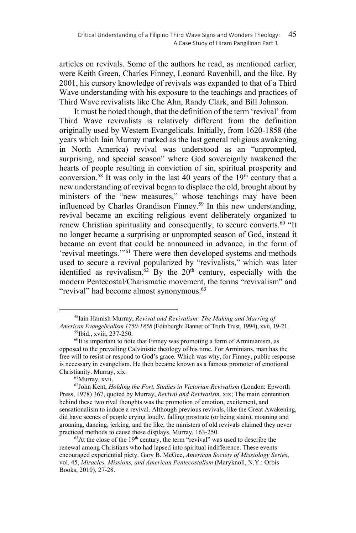articles on revivals. Some of the authors he read, as mentioned earlier, were Keith Green, Charles Finney, Leonard Ravenhill, and the like. By 2001, his cursory knowledge of revivals was expanded to that of a Third Wave understanding with his exposure to the teachings and practices of Third Wave revivalists like Che Ahn, Randy Clark, and Bill Johnson.

It must be noted though, that the definition of the term 'revival' from Third Wave revivalists is relatively different from the definition originally used by Western Evangelicals. Initially, from 1620-1858 (the years which Iain Murray marked as the last general religious awakening in North America) revival was understood as an "unprompted, surprising, and special season" where God sovereignly awakened the hearts of people resulting in conviction of sin, spiritual prosperity and conversion.<sup>58</sup> It was only in the last 40 years of the  $19<sup>th</sup>$  century that a new understanding of revival began to displace the old, brought about by ministers of the "new measures," whose teachings may have been influenced by Charles Grandison Finney.<sup>59</sup> In this new understanding, revival became an exciting religious event deliberately organized to renew Christian spirituality and consequently, to secure converts.<sup>60</sup> "It no longer became a surprising or unprompted season of God, instead it became an event that could be announced in advance, in the form of 'revival meetings.'"61 There were then developed systems and methods used to secure a revival popularized by "revivalists," which was later identified as revivalism.<sup>62</sup> By the  $20<sup>th</sup>$  century, especially with the modern Pentecostal/Charismatic movement, the terms "revivalism" and "revival" had become almost synonymous.<sup>63</sup>

<sup>58</sup>Iain Hamish Murray, *Revival and Revivalism: The Making and Marring of American Evangelicalism 1750-1858* (Edinburgh: Banner of Truth Trust, 1994), xvii, 19-21. 59Ibid., xviii, 237-250.

 $60$ It is important to note that Finney was promoting a form of Arminianism, as opposed to the prevailing Calvinistic theology of his time. For Arminians, man has the free will to resist or respond to God's grace. Which was why, for Finney, public response is necessary in evangelism. He then became known as a famous promoter of emotional Christianity. Murray, xix.<br><sup>61</sup>Murray, xvii.

<sup>62</sup>John Kent, *Holding the Fort, Studies in Victorian Revivalism* (London: Epworth Press, 1978) 367, quoted by Murray, *Revival and Revivalism,* xix; The main contention behind these two rival thoughts was the promotion of emotion, excitement, and sensationalism to induce a revival. Although previous revivals, like the Great Awakening, did have scenes of people crying loudly, falling prostrate (or being slain), moaning and groaning, dancing, jerking, and the like, the ministers of old revivals claimed they never practiced methods to cause these displays. Murray, 163-250.<br><sup>63</sup>At the close of the 19<sup>th</sup> century, the term "revival" was used to describe the

renewal among Christians who had lapsed into spiritual indifference. These events encouraged experiential piety. Gary B. McGee, *American Society of Missiology Series*, vol. 45, *Miracles, Missions, and American Pentecostalism* (Maryknoll, N.Y.: Orbis Books, 2010), 27-28.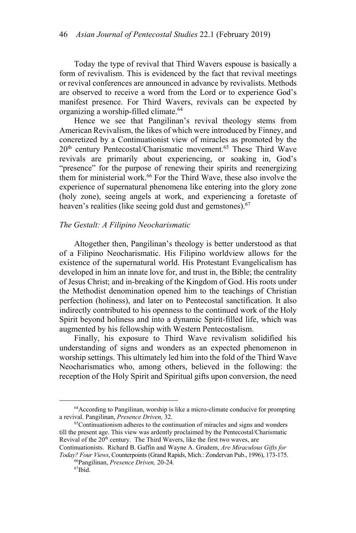Today the type of revival that Third Wavers espouse is basically a form of revivalism. This is evidenced by the fact that revival meetings or revival conferences are announced in advance by revivalists. Methods are observed to receive a word from the Lord or to experience God's manifest presence. For Third Wavers, revivals can be expected by organizing a worship-filled climate.64

Hence we see that Pangilinan's revival theology stems from American Revivalism, the likes of which were introduced by Finney, and concretized by a Continuationist view of miracles as promoted by the 20<sup>th</sup> century Pentecostal/Charismatic movement.<sup>65</sup> These Third Wave revivals are primarily about experiencing, or soaking in, God's "presence" for the purpose of renewing their spirits and reenergizing them for ministerial work.66 For the Third Wave, these also involve the experience of supernatural phenomena like entering into the glory zone (holy zone), seeing angels at work, and experiencing a foretaste of heaven's realities (like seeing gold dust and gemstones).<sup>67</sup>

#### *The Gestalt: A Filipino Neocharismatic*

Altogether then, Pangilinan's theology is better understood as that of a Filipino Neocharismatic. His Filipino worldview allows for the existence of the supernatural world. His Protestant Evangelicalism has developed in him an innate love for, and trust in, the Bible; the centrality of Jesus Christ; and in-breaking of the Kingdom of God. His roots under the Methodist denomination opened him to the teachings of Christian perfection (holiness), and later on to Pentecostal sanctification. It also indirectly contributed to his openness to the continued work of the Holy Spirit beyond holiness and into a dynamic Spirit-filled life, which was augmented by his fellowship with Western Pentecostalism.

Finally, his exposure to Third Wave revivalism solidified his understanding of signs and wonders as an expected phenomenon in worship settings. This ultimately led him into the fold of the Third Wave Neocharismatics who, among others, believed in the following: the reception of the Holy Spirit and Spiritual gifts upon conversion, the need

<sup>64</sup>According to Pangilinan, worship is like a micro-climate conducive for prompting a revival. Pangilinan, *Presence Driven*, 32.<br><sup>65</sup>Continuationism adheres to the continuation of miracles and signs and wonders

till the present age. This view was ardently proclaimed by the Pentecostal/Charismatic Revival of the  $20<sup>th</sup>$  century. The Third Wavers, like the first two waves, are

Continuationists. Richard B. Gaffin and Wayne A. Grudem, *Are Miraculous Gifts for Today? Four Views*, Counterpoints (Grand Rapids, Mich.: Zondervan Pub., 1996), 173-175.<br><sup>66</sup>Pangilinan, *Presence Driven*, 20-24.<br><sup>67</sup>Ibid